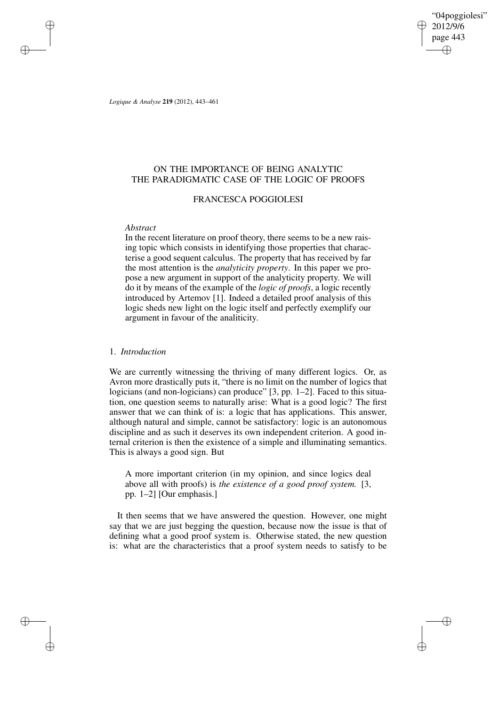"04poggiolesi" 2012/9/6 page 443 ✐ ✐

✐

✐

*Logique & Analyse* **219** (2012), 443–461

 $\rightarrow$ 

 $\rightarrow$ 

✐

✐

# ON THE IMPORTANCE OF BEING ANALYTIC THE PARADIGMATIC CASE OF THE LOGIC OF PROOFS

### FRANCESCA POGGIOLESI

#### *Abstract*

In the recent literature on proof theory, there seems to be a new raising topic which consists in identifying those properties that characterise a good sequent calculus. The property that has received by far the most attention is the *analyticity property*. In this paper we propose a new argument in support of the analyticity property. We will do it by means of the example of the *logic of proofs*, a logic recently introduced by Artemov [1]. Indeed a detailed proof analysis of this logic sheds new light on the logic itself and perfectly exemplify our argument in favour of the analiticity.

### 1. *Introduction*

We are currently witnessing the thriving of many different logics. Or, as Avron more drastically puts it, "there is no limit on the number of logics that logicians (and non-logicians) can produce" [3, pp. 1–2]. Faced to this situation, one question seems to naturally arise: What is a good logic? The first answer that we can think of is: a logic that has applications. This answer, although natural and simple, cannot be satisfactory: logic is an autonomous discipline and as such it deserves its own independent criterion. A good internal criterion is then the existence of a simple and illuminating semantics. This is always a good sign. But

A more important criterion (in my opinion, and since logics deal above all with proofs) is *the existence of a good proof system.* [3, pp. 1–2] [Our emphasis.]

It then seems that we have answered the question. However, one might say that we are just begging the question, because now the issue is that of defining what a good proof system is. Otherwise stated, the new question is: what are the characteristics that a proof system needs to satisfy to be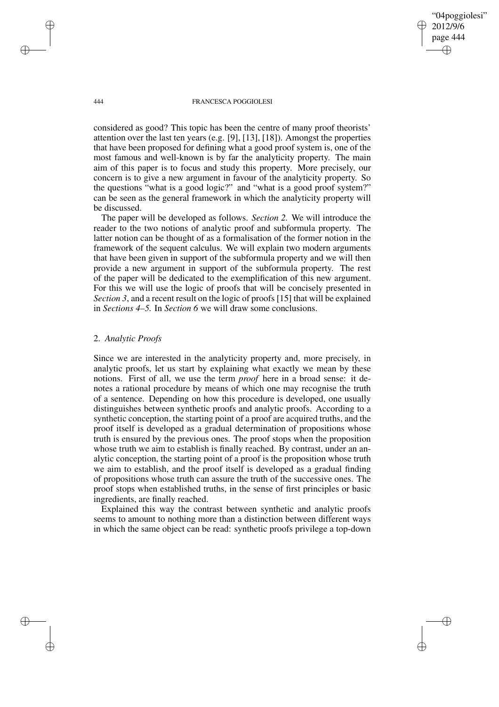"04poggiolesi" 2012/9/6 page 444 ✐ ✐

✐

✐

#### 444 FRANCESCA POGGIOLESI

considered as good? This topic has been the centre of many proof theorists' attention over the last ten years (e.g. [9], [13], [18]). Amongst the properties that have been proposed for defining what a good proof system is, one of the most famous and well-known is by far the analyticity property. The main aim of this paper is to focus and study this property. More precisely, our concern is to give a new argument in favour of the analyticity property. So the questions "what is a good logic?" and "what is a good proof system?" can be seen as the general framework in which the analyticity property will be discussed.

The paper will be developed as follows. *Section 2.* We will introduce the reader to the two notions of analytic proof and subformula property. The latter notion can be thought of as a formalisation of the former notion in the framework of the sequent calculus. We will explain two modern arguments that have been given in support of the subformula property and we will then provide a new argument in support of the subformula property. The rest of the paper will be dedicated to the exemplification of this new argument. For this we will use the logic of proofs that will be concisely presented in *Section 3*, and a recent result on the logic of proofs [15] that will be explained in *Sections 4–5.* In *Section 6* we will draw some conclusions.

# 2. *Analytic Proofs*

Since we are interested in the analyticity property and, more precisely, in analytic proofs, let us start by explaining what exactly we mean by these notions. First of all, we use the term *proof* here in a broad sense: it denotes a rational procedure by means of which one may recognise the truth of a sentence. Depending on how this procedure is developed, one usually distinguishes between synthetic proofs and analytic proofs. According to a synthetic conception, the starting point of a proof are acquired truths, and the proof itself is developed as a gradual determination of propositions whose truth is ensured by the previous ones. The proof stops when the proposition whose truth we aim to establish is finally reached. By contrast, under an analytic conception, the starting point of a proof is the proposition whose truth we aim to establish, and the proof itself is developed as a gradual finding of propositions whose truth can assure the truth of the successive ones. The proof stops when established truths, in the sense of first principles or basic ingredients, are finally reached.

Explained this way the contrast between synthetic and analytic proofs seems to amount to nothing more than a distinction between different ways in which the same object can be read: synthetic proofs privilege a top-down

 $\rightarrow$ 

 $\rightarrow$ 

✐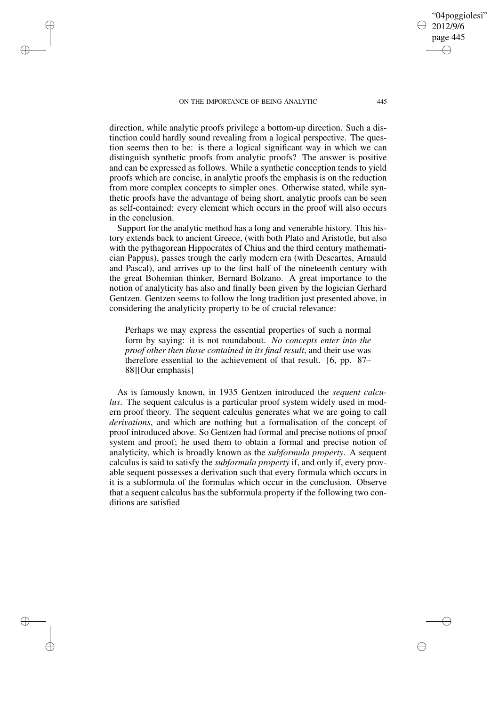$\rightarrow$ 

 $\rightarrow$ 

✐

✐

page 445 ✐

✐

"04poggiolesi" 2012/9/6

✐

✐

direction, while analytic proofs privilege a bottom-up direction. Such a distinction could hardly sound revealing from a logical perspective. The question seems then to be: is there a logical significant way in which we can distinguish synthetic proofs from analytic proofs? The answer is positive and can be expressed as follows. While a synthetic conception tends to yield proofs which are concise, in analytic proofs the emphasis is on the reduction from more complex concepts to simpler ones. Otherwise stated, while synthetic proofs have the advantage of being short, analytic proofs can be seen as self-contained: every element which occurs in the proof will also occurs in the conclusion.

Support for the analytic method has a long and venerable history. This history extends back to ancient Greece, (with both Plato and Aristotle, but also with the pythagorean Hippocrates of Chius and the third century mathematician Pappus), passes trough the early modern era (with Descartes, Arnauld and Pascal), and arrives up to the first half of the nineteenth century with the great Bohemian thinker, Bernard Bolzano. A great importance to the notion of analyticity has also and finally been given by the logician Gerhard Gentzen. Gentzen seems to follow the long tradition just presented above, in considering the analyticity property to be of crucial relevance:

Perhaps we may express the essential properties of such a normal form by saying: it is not roundabout. *No concepts enter into the proof other then those contained in its final result*, and their use was therefore essential to the achievement of that result. [6, pp. 87– 88][Our emphasis]

As is famously known, in 1935 Gentzen introduced the *sequent calculus*. The sequent calculus is a particular proof system widely used in modern proof theory. The sequent calculus generates what we are going to call *derivations*, and which are nothing but a formalisation of the concept of proof introduced above. So Gentzen had formal and precise notions of proof system and proof; he used them to obtain a formal and precise notion of analyticity, which is broadly known as the *subformula property*. A sequent calculus is said to satisfy the *subformula property* if, and only if, every provable sequent possesses a derivation such that every formula which occurs in it is a subformula of the formulas which occur in the conclusion. Observe that a sequent calculus has the subformula property if the following two conditions are satisfied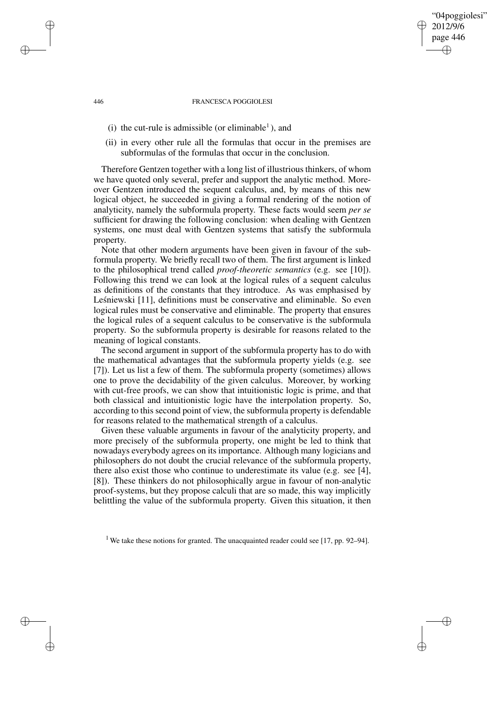### "04poggiolesi" 2012/9/6 page 446 ✐ ✐

✐

✐

#### 446 FRANCESCA POGGIOLESI

- (i) the cut-rule is admissible (or eliminable<sup>1</sup>), and
- (ii) in every other rule all the formulas that occur in the premises are subformulas of the formulas that occur in the conclusion.

Therefore Gentzen together with a long list of illustrious thinkers, of whom we have quoted only several, prefer and support the analytic method. Moreover Gentzen introduced the sequent calculus, and, by means of this new logical object, he succeeded in giving a formal rendering of the notion of analyticity, namely the subformula property. These facts would seem *per se* sufficient for drawing the following conclusion: when dealing with Gentzen systems, one must deal with Gentzen systems that satisfy the subformula property.

Note that other modern arguments have been given in favour of the subformula property. We briefly recall two of them. The first argument is linked to the philosophical trend called *proof-theoretic semantics* (e.g. see [10]). Following this trend we can look at the logical rules of a sequent calculus as definitions of the constants that they introduce. As was emphasised by Leśniewski [11], definitions must be conservative and eliminable. So even logical rules must be conservative and eliminable. The property that ensures the logical rules of a sequent calculus to be conservative is the subformula property. So the subformula property is desirable for reasons related to the meaning of logical constants.

The second argument in support of the subformula property has to do with the mathematical advantages that the subformula property yields (e.g. see [7]). Let us list a few of them. The subformula property (sometimes) allows one to prove the decidability of the given calculus. Moreover, by working with cut-free proofs, we can show that intuitionistic logic is prime, and that both classical and intuitionistic logic have the interpolation property. So, according to this second point of view, the subformula property is defendable for reasons related to the mathematical strength of a calculus.

Given these valuable arguments in favour of the analyticity property, and more precisely of the subformula property, one might be led to think that nowadays everybody agrees on its importance. Although many logicians and philosophers do not doubt the crucial relevance of the subformula property, there also exist those who continue to underestimate its value (e.g. see [4], [8]). These thinkers do not philosophically argue in favour of non-analytic proof-systems, but they propose calculi that are so made, this way implicitly belittling the value of the subformula property. Given this situation, it then

 $\rightarrow$ 

 $\rightarrow$ 

✐

<sup>&</sup>lt;sup>1</sup> We take these notions for granted. The unacquainted reader could see [17, pp. 92–94].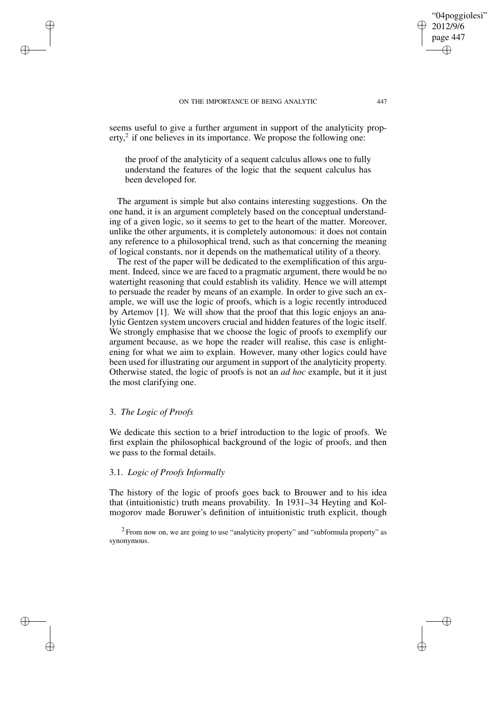seems useful to give a further argument in support of the analyticity property,<sup>2</sup> if one believes in its importance. We propose the following one:

the proof of the analyticity of a sequent calculus allows one to fully understand the features of the logic that the sequent calculus has been developed for.

The argument is simple but also contains interesting suggestions. On the one hand, it is an argument completely based on the conceptual understanding of a given logic, so it seems to get to the heart of the matter. Moreover, unlike the other arguments, it is completely autonomous: it does not contain any reference to a philosophical trend, such as that concerning the meaning of logical constants, nor it depends on the mathematical utility of a theory.

The rest of the paper will be dedicated to the exemplification of this argument. Indeed, since we are faced to a pragmatic argument, there would be no watertight reasoning that could establish its validity. Hence we will attempt to persuade the reader by means of an example. In order to give such an example, we will use the logic of proofs, which is a logic recently introduced by Artemov [1]. We will show that the proof that this logic enjoys an analytic Gentzen system uncovers crucial and hidden features of the logic itself. We strongly emphasise that we choose the logic of proofs to exemplify our argument because, as we hope the reader will realise, this case is enlightening for what we aim to explain. However, many other logics could have been used for illustrating our argument in support of the analyticity property. Otherwise stated, the logic of proofs is not an *ad hoc* example, but it it just the most clarifying one.

### 3. *The Logic of Proofs*

 $\rightarrow$ 

 $\rightarrow$ 

✐

✐

We dedicate this section to a brief introduction to the logic of proofs. We first explain the philosophical background of the logic of proofs, and then we pass to the formal details.

# 3.1. *Logic of Proofs Informally*

The history of the logic of proofs goes back to Brouwer and to his idea that (intuitionistic) truth means provability. In 1931–34 Heyting and Kolmogorov made Boruwer's definition of intuitionistic truth explicit, though

 $2$  From now on, we are going to use "analyticity property" and "subformula property" as synonymous.

"04poggiolesi" 2012/9/6 page 447

✐

✐

✐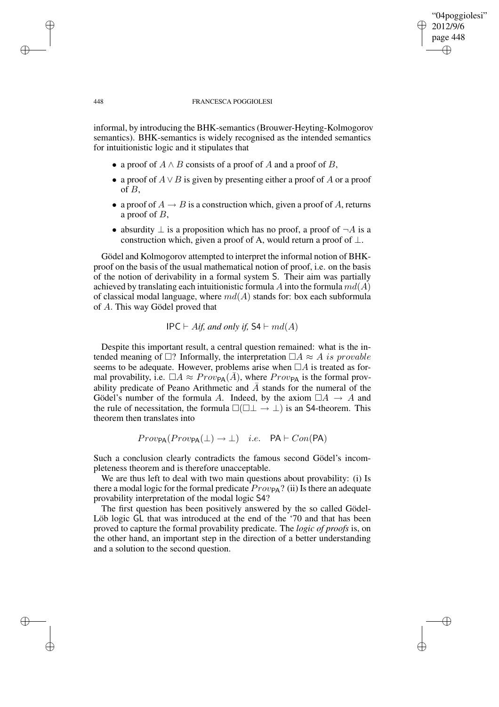# 448 FRANCESCA POGGIOLESI

"04poggiolesi" 2012/9/6 page 448

✐

✐

✐

✐

informal, by introducing the BHK-semantics(Brouwer-Heyting-Kolmogorov semantics). BHK-semantics is widely recognised as the intended semantics for intuitionistic logic and it stipulates that

- a proof of  $A \wedge B$  consists of a proof of A and a proof of B,
- a proof of  $A \vee B$  is given by presenting either a proof of A or a proof of B,
- a proof of  $A \rightarrow B$  is a construction which, given a proof of A, returns a proof of B,
- absurdity  $\perp$  is a proposition which has no proof, a proof of  $\neg A$  is a construction which, given a proof of A, would return a proof of  $\bot$ .

Gödel and Kolmogorov attempted to interpret the informal notion of BHKproof on the basis of the usual mathematical notion of proof, i.e. on the basis of the notion of derivability in a formal system S. Their aim was partially achieved by translating each intuitionistic formula A into the formula  $md(A)$ of classical modal language, where  $md(A)$  stands for: box each subformula of A. This way Gödel proved that

 $IPC \vdash A$ *if,* and only *if,*  $S4 \vdash md(A)$ 

Despite this important result, a central question remained: what is the intended meaning of  $\Box$ ? Informally, the interpretation  $\Box A \approx A$  is provable seems to be adequate. However, problems arise when  $\Box A$  is treated as formal provability, i.e.  $\Box A \approx Prov_{PA}(\overline{A})$ , where  $Prov_{PA}$  is the formal provability predicate of Peano Arithmetic and  $\overline{A}$  stands for the numeral of the Gödel's number of the formula A. Indeed, by the axiom  $\Box A \rightarrow A$  and the rule of necessitation, the formula  $\square(\square \bot \rightarrow \bot)$  is an S4-theorem. This theorem then translates into

$$
Prov_{\mathsf{PA}}(Prov_{\mathsf{PA}}(\bot) \to \bot) \quad i.e. \quad \mathsf{PA} \vdash Con(\mathsf{PA})
$$

Such a conclusion clearly contradicts the famous second Gödel's incompleteness theorem and is therefore unacceptable.

We are thus left to deal with two main questions about provability: (i) Is there a modal logic for the formal predicate  $Prov_{\text{PA}}$ ? (ii) Is there an adequate provability interpretation of the modal logic S4?

The first question has been positively answered by the so called Gödel-Löb logic GL that was introduced at the end of the '70 and that has been proved to capture the formal provability predicate. The *logic of proofs* is, on the other hand, an important step in the direction of a better understanding and a solution to the second question.

 $\rightarrow$ 

 $\rightarrow$ 

✐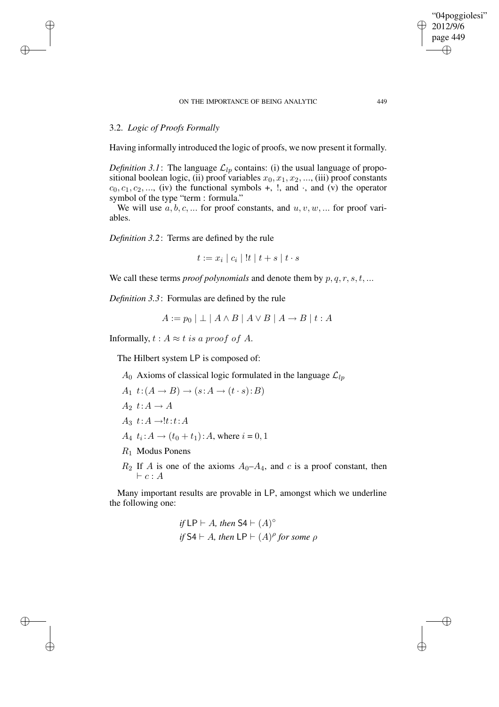### 3.2. *Logic of Proofs Formally*

 $\rightarrow$ 

 $\rightarrow$ 

✐

✐

Having informally introduced the logic of proofs, we now present it formally.

*Definition* 3.1: The language  $\mathcal{L}_{lp}$  contains: (i) the usual language of propositional boolean logic, (ii) proof variables  $x_0, x_1, x_2, \dots$ , (iii) proof constants  $c_0, c_1, c_2, \ldots$ , (iv) the functional symbols +, !, and  $\cdot$ , and (v) the operator symbol of the type "term : formula."

We will use  $a, b, c, \dots$  for proof constants, and  $u, v, w, \dots$  for proof variables.

*Definition 3.2*: Terms are defined by the rule

 $t := x_i | c_i | !t | t + s | t \cdot s$ 

We call these terms *proof polynomials* and denote them by  $p, q, r, s, t, ...$ 

*Definition 3.3*: Formulas are defined by the rule

$$
A := p_0 \mid \perp \mid A \wedge B \mid A \vee B \mid A \rightarrow B \mid t : A
$$

Informally,  $t : A \approx t$  is a proof of A.

The Hilbert system LP is composed of:

 $A_0$  Axioms of classical logic formulated in the language  $\mathcal{L}_{lp}$ 

$$
A_1 \t t : (A \to B) \to (s : A \to (t \cdot s) : B)
$$
  
\n
$$
A_2 \t t : A \to A
$$
  
\n
$$
A_3 \t t : A \to \text{!} t : t : A
$$
  
\n
$$
A_4 \t t_i : A \to (t_0 + t_1) : A \text{, where } i = 0, 1
$$

- $R_1$  Modus Ponens
- $R_2$  If A is one of the axioms  $A_0$ – $A_4$ , and c is a proof constant, then  $\vdash c : A$

Many important results are provable in LP, amongst which we underline the following one:

if LP 
$$
\vdash
$$
 *A*, then S4  $\vdash$  (*A*)<sup>°</sup>  
if S4  $\vdash$  *A*, then LP  $\vdash$  (*A*)<sup>°</sup> for some  $\rho$ 

"04poggiolesi" 2012/9/6 page 449

✐

✐

✐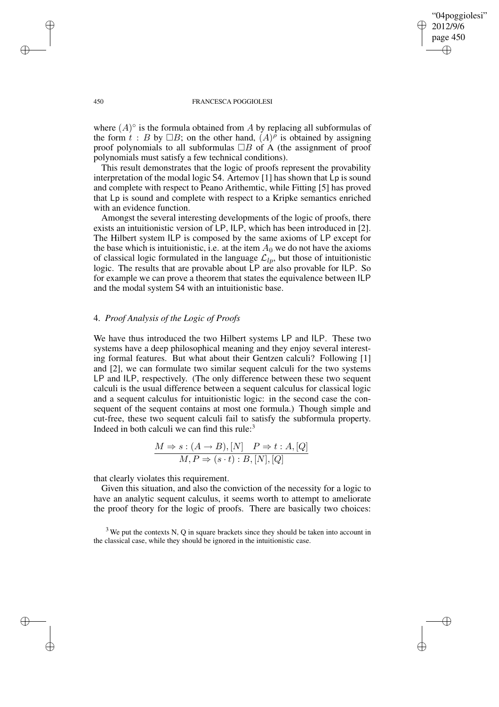"04poggiolesi" 2012/9/6 page 450 ✐ ✐

✐

✐

#### 450 FRANCESCA POGGIOLESI

where  $(A)^\circ$  is the formula obtained from A by replacing all subformulas of the form  $t : B$  by  $\Box B$ ; on the other hand,  $(A)^\rho$  is obtained by assigning proof polynomials to all subformulas  $\Box B$  of A (the assignment of proof polynomials must satisfy a few technical conditions).

This result demonstrates that the logic of proofs represent the provability interpretation of the modal logic S4. Artemov [1] has shown that Lp is sound and complete with respect to Peano Arithemtic, while Fitting [5] has proved that Lp is sound and complete with respect to a Kripke semantics enriched with an evidence function.

Amongst the several interesting developments of the logic of proofs, there exists an intuitionistic version of LP, ILP, which has been introduced in [2]. The Hilbert system ILP is composed by the same axioms of LP except for the base which is intuitionistic, i.e. at the item  $A_0$  we do not have the axioms of classical logic formulated in the language  $\mathcal{L}_{lp}$ , but those of intuitionistic logic. The results that are provable about LP are also provable for ILP. So for example we can prove a theorem that states the equivalence between ILP and the modal system S4 with an intuitionistic base.

### 4. *Proof Analysis of the Logic of Proofs*

We have thus introduced the two Hilbert systems LP and ILP. These two systems have a deep philosophical meaning and they enjoy several interesting formal features. But what about their Gentzen calculi? Following [1] and [2], we can formulate two similar sequent calculi for the two systems LP and ILP, respectively. (The only difference between these two sequent calculi is the usual difference between a sequent calculus for classical logic and a sequent calculus for intuitionistic logic: in the second case the consequent of the sequent contains at most one formula.) Though simple and cut-free, these two sequent calculi fail to satisfy the subformula property. Indeed in both calculi we can find this rule: $3$ 

$$
\frac{M \Rightarrow s: (A \rightarrow B), [N] \quad P \Rightarrow t: A, [Q]}{M, P \Rightarrow (s \cdot t): B, [N], [Q]}
$$

that clearly violates this requirement.

Given this situation, and also the conviction of the necessity for a logic to have an analytic sequent calculus, it seems worth to attempt to ameliorate the proof theory for the logic of proofs. There are basically two choices:

 $\rightarrow$ 

 $\rightarrow$ 

✐

 $3$  We put the contexts N, Q in square brackets since they should be taken into account in the classical case, while they should be ignored in the intuitionistic case.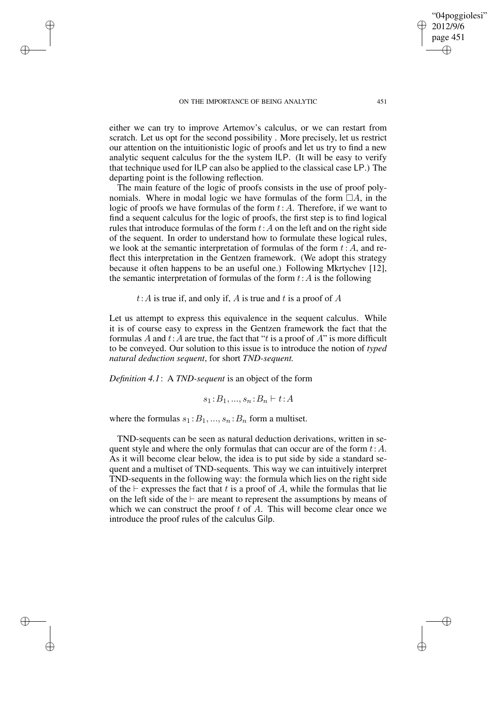$\rightarrow$ 

 $\rightarrow$ 

✐

✐

either we can try to improve Artemov's calculus, or we can restart from scratch. Let us opt for the second possibility . More precisely, let us restrict our attention on the intuitionistic logic of proofs and let us try to find a new analytic sequent calculus for the the system ILP. (It will be easy to verify that technique used for ILP can also be applied to the classical case LP.) The departing point is the following reflection.

The main feature of the logic of proofs consists in the use of proof polynomials. Where in modal logic we have formulas of the form  $\Box A$ , in the logic of proofs we have formulas of the form  $t:A$ . Therefore, if we want to find a sequent calculus for the logic of proofs, the first step is to find logical rules that introduce formulas of the form  $t:A$  on the left and on the right side of the sequent. In order to understand how to formulate these logical rules, we look at the semantic interpretation of formulas of the form  $t:A$ , and reflect this interpretation in the Gentzen framework. (We adopt this strategy because it often happens to be an useful one.) Following Mkrtychev [12], the semantic interpretation of formulas of the form  $t:A$  is the following

 $t:A$  is true if, and only if, A is true and t is a proof of A

Let us attempt to express this equivalence in the sequent calculus. While it is of course easy to express in the Gentzen framework the fact that the formulas A and  $t:A$  are true, the fact that "t is a proof of  $A$ " is more difficult to be conveyed. Our solution to this issue is to introduce the notion of *typed natural deduction sequent*, for short *TND-sequent.*

*Definition 4.1*: A *TND-sequent* is an object of the form

 $s_1 : B_1, ..., s_n : B_n \vdash t : A$ 

where the formulas  $s_1 : B_1, ..., s_n : B_n$  form a multiset.

TND-sequents can be seen as natural deduction derivations, written in sequent style and where the only formulas that can occur are of the form  $t:A$ . As it will become clear below, the idea is to put side by side a standard sequent and a multiset of TND-sequents. This way we can intuitively interpret TND-sequents in the following way: the formula which lies on the right side of the  $\vdash$  expresses the fact that t is a proof of A, while the formulas that lie on the left side of the  $\vdash$  are meant to represent the assumptions by means of which we can construct the proof  $t$  of  $A$ . This will become clear once we introduce the proof rules of the calculus Gilp.

"04poggiolesi" 2012/9/6 page 451

✐

✐

✐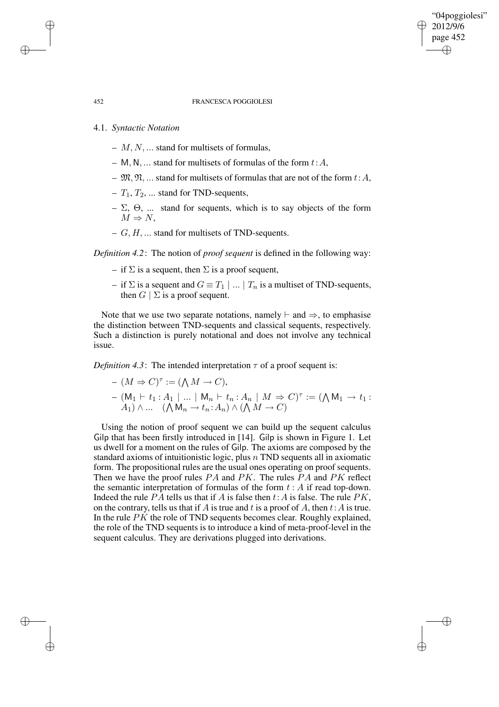✐

✐

#### 452 FRANCESCA POGGIOLESI

### 4.1. *Syntactic Notation*

- $M, N, \ldots$  stand for multisets of formulas,
- M, N, ... stand for multisets of formulas of the form  $t:A$ ,
- $\mathfrak{M}, \mathfrak{N}, \dots$  stand for multisets of formulas that are not of the form  $t:A$ ,
- $T_1, T_2, \ldots$  stand for TND-sequents,
- $-\Sigma$ ,  $\Theta$ , ... stand for sequents, which is to say objects of the form  $M \Rightarrow N$ ,
- $G, H, \ldots$  stand for multisets of TND-sequents.

*Definition 4.2*: The notion of *proof sequent* is defined in the following way:

- if  $\Sigma$  is a sequent, then  $\Sigma$  is a proof sequent,
- if  $\Sigma$  is a sequent and  $G \equiv T_1 \mid ... \mid T_n$  is a multiset of TND-sequents, then  $G \mid \Sigma$  is a proof sequent.

Note that we use two separate notations, namely  $\vdash$  and  $\Rightarrow$ , to emphasise the distinction between TND-sequents and classical sequents, respectively. Such a distinction is purely notational and does not involve any technical issue.

*Definition* 4.3: The intended interpretation  $\tau$  of a proof sequent is:

$$
-(M \Rightarrow C)^{\tau} := (\bigwedge M \to C),
$$
  
- (M<sub>1</sub> + t<sub>1</sub> : A<sub>1</sub> | ... | M<sub>n</sub> + t<sub>n</sub> : A<sub>n</sub> | M  $\Rightarrow$  C)<sup>\tau</sup> := ( $\bigwedge M_1 \to t_1$  :  
A<sub>1</sub>)  $\wedge ...$  ( $\bigwedge M_n \to t_n$  : A<sub>n</sub>)  $\wedge$  ( $\bigwedge M \to C$ )

Using the notion of proof sequent we can build up the sequent calculus Gilp that has been firstly introduced in [14]. Gilp is shown in Figure 1. Let us dwell for a moment on the rules of Gilp. The axioms are composed by the standard axioms of intuitionistic logic, plus  $n$  TND sequents all in axiomatic form. The propositional rules are the usual ones operating on proof sequents. Then we have the proof rules PA and PK. The rules PA and PK reflect the semantic interpretation of formulas of the form  $t : A$  if read top-down. Indeed the rule  $PA$  tells us that if A is false then  $t:A$  is false. The rule  $PK$ , on the contrary, tells us that if A is true and t is a proof of A, then  $t:A$  is true. In the rule  $PK$  the role of TND sequents becomes clear. Roughly explained, the role of the TND sequents is to introduce a kind of meta-proof-level in the sequent calculus. They are derivations plugged into derivations.

 $\rightarrow$ 

 $\rightarrow$ 

✐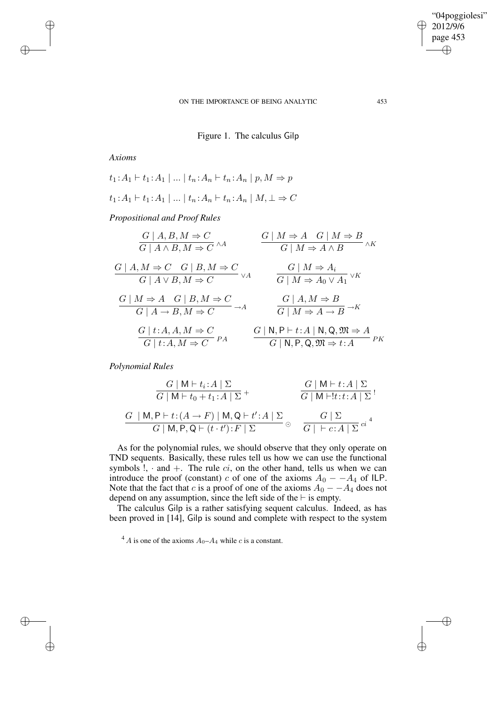"04poggiolesi" 2012/9/6 page 453 ✐ ✐

✐

✐

# Figure 1. The calculus Gilp

*Axioms*

 $\rightarrow$ 

 $\rightarrow$ 

✐

✐

$$
t_1: A_1 \vdash t_1: A_1 \mid \dots \mid t_n: A_n \vdash t_n: A_n \mid p, M \Rightarrow p
$$

$$
t_1: A_1 \vdash t_1: A_1 \mid \dots \mid t_n: A_n \vdash t_n: A_n \mid M, \bot \Rightarrow C
$$

*Propositional and Proof Rules*

| $G \mid A, B, M \Rightarrow C$<br>$G \mid A \wedge B, M \Rightarrow C \wedge A$                                                                | $G \mid M \Rightarrow A \mid G \mid M \Rightarrow B$<br>$\overline{\wedge K}$<br>$G \mid M \Rightarrow A \wedge B$ |
|------------------------------------------------------------------------------------------------------------------------------------------------|--------------------------------------------------------------------------------------------------------------------|
| $G \mid A, M \Rightarrow C \mid G \mid B, M \Rightarrow C$                                                                                     | $G \mid M \Rightarrow A_i$                                                                                         |
| $G \mid A \vee B, M \Rightarrow C$ $\vee A$                                                                                                    | $G \mid M \Rightarrow A_0 \vee A_1$ <sup><math>\vee K</math></sup>                                                 |
| $G \mid M \Rightarrow A \mid G \mid B, M \Rightarrow C$<br>$\overline{\phantom{a}} \rightarrow A$<br>$G \mid A \rightarrow B, M \Rightarrow C$ | $G \mid A, M \Rightarrow B$<br>$G \overline{M \Rightarrow A \rightarrow B} \rightarrow K$                          |
| $G \mid t:A, A,M \Rightarrow C$                                                                                                                | $G \mid N, P \vdash t : A \mid N, Q, \mathfrak{M} \Rightarrow A$                                                   |
| $G \mid t:A, M \Rightarrow C$ <sup>PA</sup>                                                                                                    | $G \mid N, P, Q, \mathfrak{M} \Rightarrow t : A \longrightarrow P K$                                               |

*Polynomial Rules*

$$
\frac{G \mid \mathsf{M} \vdash t_i : A \mid \Sigma}{G \mid \mathsf{M} \vdash t_0 + t_1 : A \mid \Sigma} + \frac{G \mid \mathsf{M} \vdash t : A \mid \Sigma}{G \mid \mathsf{M} \vdash !t : t : A \mid \Sigma}
$$
\n
$$
\frac{G \mid \mathsf{M} \vdash t : A \mid \Sigma}{G \mid \mathsf{M}, \mathsf{P}, \mathsf{Q} \vdash (t \cdot t') : F \mid \Sigma} \circ \frac{G \mid \Sigma}{G \mid \vdash c : A \mid \Sigma}^{c_i A}
$$

As for the polynomial rules, we should observe that they only operate on TND sequents. Basically, these rules tell us how we can use the functional symbols  $!, \cdot$  and  $+$ . The rule  $ci$ , on the other hand, tells us when we can introduce the proof (constant) c of one of the axioms  $A_0 - A_4$  of ILP. Note that the fact that c is a proof of one of the axioms  $A_0 - A_4$  does not depend on any assumption, since the left side of the  $\vdash$  is empty.

The calculus Gilp is a rather satisfying sequent calculus. Indeed, as has been proved in [14], Gilp is sound and complete with respect to the system

<sup>4</sup> A is one of the axioms  $A_0$ – $A_4$  while c is a constant.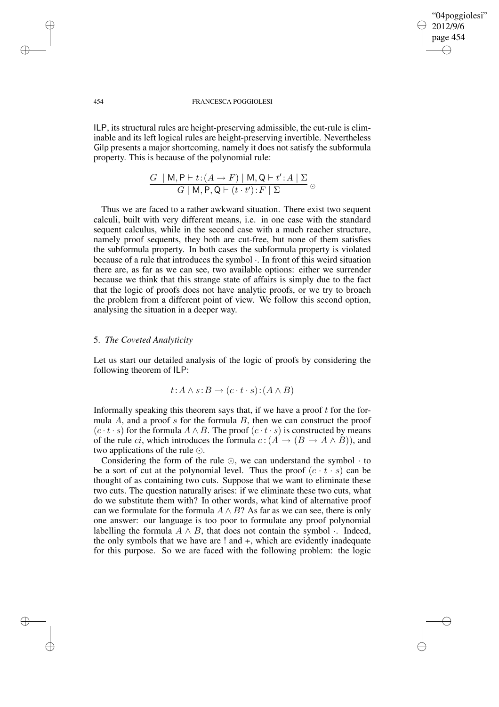"04poggiolesi" 2012/9/6 page 454 ✐ ✐

✐

✐

#### 454 FRANCESCA POGGIOLESI

ILP, its structural rules are height-preserving admissible, the cut-rule is eliminable and its left logical rules are height-preserving invertible. Nevertheless Gilp presents a major shortcoming, namely it does not satisfy the subformula property. This is because of the polynomial rule:

$$
\frac{G \mid \mathsf{M}, \mathsf{P} \vdash t : (A \rightarrow F) \mid \mathsf{M}, \mathsf{Q} \vdash t' : A \mid \Sigma}{G \mid \mathsf{M}, \mathsf{P}, \mathsf{Q} \vdash (t \cdot t') : F \mid \Sigma} \circ
$$

Thus we are faced to a rather awkward situation. There exist two sequent calculi, built with very different means, i.e. in one case with the standard sequent calculus, while in the second case with a much reacher structure, namely proof sequents, they both are cut-free, but none of them satisfies the subformula property. In both cases the subformula property is violated because of a rule that introduces the symbol ·. In front of this weird situation there are, as far as we can see, two available options: either we surrender because we think that this strange state of affairs is simply due to the fact that the logic of proofs does not have analytic proofs, or we try to broach the problem from a different point of view. We follow this second option, analysing the situation in a deeper way.

### 5. *The Coveted Analyticity*

Let us start our detailed analysis of the logic of proofs by considering the following theorem of ILP:

$$
t:A \wedge s:B \to (c \cdot t \cdot s):(A \wedge B)
$$

Informally speaking this theorem says that, if we have a proof  $t$  for the formula  $A$ , and a proof  $s$  for the formula  $B$ , then we can construct the proof  $(c \cdot t \cdot s)$  for the formula  $A \wedge B$ . The proof  $(c \cdot t \cdot s)$  is constructed by means of the rule *ci*, which introduces the formula  $c:(A \rightarrow (B \rightarrow A \land B))$ , and two applications of the rule  $\odot$ .

Considering the form of the rule  $\odot$ , we can understand the symbol  $\cdot$  to be a sort of cut at the polynomial level. Thus the proof  $(c \cdot t \cdot s)$  can be thought of as containing two cuts. Suppose that we want to eliminate these two cuts. The question naturally arises: if we eliminate these two cuts, what do we substitute them with? In other words, what kind of alternative proof can we formulate for the formula  $A \wedge B$ ? As far as we can see, there is only one answer: our language is too poor to formulate any proof polynomial labelling the formula  $A \wedge B$ , that does not contain the symbol  $\cdot$ . Indeed, the only symbols that we have are  $!$  and  $+$ , which are evidently inadequate for this purpose. So we are faced with the following problem: the logic

 $\rightarrow$ 

 $\rightarrow$ 

✐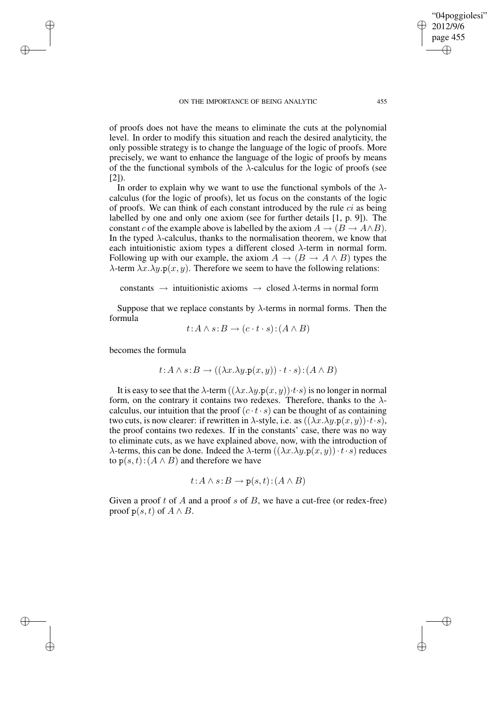✐

✐

✐

"04poggiolesi"

of proofs does not have the means to eliminate the cuts at the polynomial level. In order to modify this situation and reach the desired analyticity, the only possible strategy is to change the language of the logic of proofs. More precisely, we want to enhance the language of the logic of proofs by means of the the functional symbols of the  $\lambda$ -calculus for the logic of proofs (see [2]).

In order to explain why we want to use the functional symbols of the  $\lambda$ calculus (for the logic of proofs), let us focus on the constants of the logic of proofs. We can think of each constant introduced by the rule  $ci$  as being labelled by one and only one axiom (see for further details [1, p. 9]). The constant c of the example above is labelled by the axiom  $A \rightarrow (B \rightarrow A \wedge B)$ . In the typed  $\lambda$ -calculus, thanks to the normalisation theorem, we know that each intuitionistic axiom types a different closed  $\lambda$ -term in normal form. Following up with our example, the axiom  $A \rightarrow (B \rightarrow A \wedge B)$  types the  $\lambda$ -term  $\lambda x.\lambda y.p(x, y)$ . Therefore we seem to have the following relations:

constants  $\rightarrow$  intuitionistic axioms  $\rightarrow$  closed  $\lambda$ -terms in normal form

Suppose that we replace constants by  $\lambda$ -terms in normal forms. Then the formula

$$
t:A \wedge s:B \to (c \cdot t \cdot s):(A \wedge B)
$$

becomes the formula

 $\rightarrow$ 

 $\rightarrow$ 

✐

✐

$$
t:A \wedge s:B \rightarrow ((\lambda x.\lambda y.\mathbf{p}(x,y)) \cdot t \cdot s):(A \wedge B)
$$

It is easy to see that the  $\lambda$ -term  $((\lambda x.\lambda y.p(x, y))·t·s)$  is no longer in normal form, on the contrary it contains two redexes. Therefore, thanks to the  $\lambda$ calculus, our intuition that the proof  $(c \cdot t \cdot s)$  can be thought of as containing two cuts, is now clearer: if rewritten in  $\lambda$ -style, i.e. as  $((\lambda x.\lambda y.p(x, y)) \cdot t \cdot s)$ , the proof contains two redexes. If in the constants' case, there was no way to eliminate cuts, as we have explained above, now, with the introduction of  $\lambda$ -terms, this can be done. Indeed the  $\lambda$ -term  $((\lambda x.\lambda y.p(x, y)) \cdot t \cdot s)$  reduces to  $p(s,t)$ :  $(A \wedge B)$  and therefore we have

$$
t:A \wedge s:B \to \mathbf{p}(s,t):(A \wedge B)
$$

Given a proof t of A and a proof s of B, we have a cut-free (or redex-free) proof  $p(s,t)$  of  $A \wedge B$ .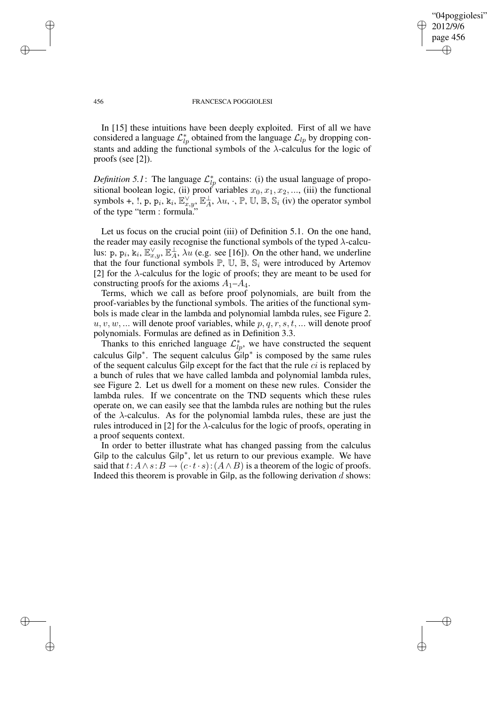"04poggiolesi" 2012/9/6 page 456 ✐ ✐

✐

✐

#### 456 FRANCESCA POGGIOLESI

In [15] these intuitions have been deeply exploited. First of all we have considered a language  $\mathcal{L}_{lp}^*$  obtained from the language  $\mathcal{L}_{lp}$  by dropping constants and adding the functional symbols of the  $\lambda$ -calculus for the logic of proofs (see [2]).

*Definition* 5.1: The language  $\mathcal{L}_{lp}^*$  contains: (i) the usual language of propositional boolean logic, (ii) proof variables  $x_0, x_1, x_2, \dots$ , (iii) the functional symbols +, !, p,  $p_i$ ,  $k_i$ ,  $\mathbb{E}_{x,y}^{\vee}$ ,  $\mathbb{E}_A^{\perp}$ ,  $\lambda u$ ,  $\cdot$ ,  $\mathbb{P}$ ,  $\mathbb{U}$ ,  $\mathbb{B}$ ,  $\mathbb{S}_i$  (iv) the operator symbol of the type "term : formula."

Let us focus on the crucial point (iii) of Definition 5.1. On the one hand, the reader may easily recognise the functional symbols of the typed  $\lambda$ -calculus: p,  $p_i$ ,  $k_i$ ,  $\mathbb{E}_{x,y}^{\vee}$ ,  $\mathbb{E}_A^{\perp}$ ,  $\lambda u$  (e.g. see [16]). On the other hand, we underline that the four functional symbols  $\mathbb{P}$ ,  $\mathbb{U}$ ,  $\mathbb{B}$ ,  $\mathbb{S}_i$  were introduced by Artemov [2] for the  $\lambda$ -calculus for the logic of proofs; they are meant to be used for constructing proofs for the axioms  $A_1 - A_4$ .

Terms, which we call as before proof polynomials, are built from the proof-variables by the functional symbols. The arities of the functional symbols is made clear in the lambda and polynomial lambda rules, see Figure 2.  $u, v, w, \dots$  will denote proof variables, while  $p, q, r, s, t, \dots$  will denote proof polynomials. Formulas are defined as in Definition 3.3.

Thanks to this enriched language  $\mathcal{L}_{lp}^*$ , we have constructed the sequent calculus Gilp<sup>∗</sup> . The sequent calculus Gilp<sup>∗</sup> is composed by the same rules of the sequent calculus Gilp except for the fact that the rule  $ci$  is replaced by a bunch of rules that we have called lambda and polynomial lambda rules, see Figure 2. Let us dwell for a moment on these new rules. Consider the lambda rules. If we concentrate on the TND sequents which these rules operate on, we can easily see that the lambda rules are nothing but the rules of the  $\lambda$ -calculus. As for the polynomial lambda rules, these are just the rules introduced in [2] for the  $\lambda$ -calculus for the logic of proofs, operating in a proof sequents context.

In order to better illustrate what has changed passing from the calculus Gilp to the calculus Gilp<sup>∗</sup> , let us return to our previous example. We have said that  $t: A \wedge s: B \rightarrow (c \cdot t \cdot s): (A \wedge B)$  is a theorem of the logic of proofs. Indeed this theorem is provable in Gilp, as the following derivation  $d$  shows:

 $\rightarrow$ 

 $\rightarrow$ 

✐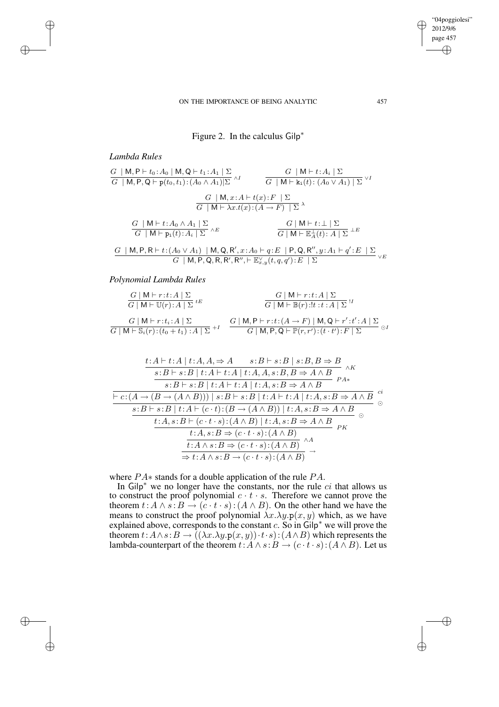# Figure 2. In the calculus Gilp<sup>∗</sup>

# *Lambda Rules*

 $\rightarrow$ 

 $\rightarrow$ 

✐

✐

| $G \mid \mathsf{M}, \mathsf{P}, \mathsf{Q} \vdash \mathsf{p}(t_0, t_1) : (A_0 \wedge A_1) \Sigma \rangle^{1}$<br>$G \mid \mathsf{M} \vdash \overline{\mathbf{k}_i(t) : (A_0 \vee A_1) \mid \Sigma} \vee I$<br>$G \mid M, x:A \vdash t(x): F \mid \Sigma$<br>$G \mid \mathsf{M} \vdash \lambda x.t(x): (A \rightarrow F) \mid \Sigma^{\lambda}$ |
|------------------------------------------------------------------------------------------------------------------------------------------------------------------------------------------------------------------------------------------------------------------------------------------------------------------------------------------------|
|                                                                                                                                                                                                                                                                                                                                                |
|                                                                                                                                                                                                                                                                                                                                                |
|                                                                                                                                                                                                                                                                                                                                                |
| $G \mid M \vdash t : \perp \mid \Sigma$<br>$\begin{array}{c c c c} G & M \vdash t : A_0 \wedge A_1 & \Sigma \\ \hline G & M \vdash p_i(t) : A_i & \Sigma \end{array} \wedge E$<br>$G \mid \mathsf{M} \vdash \mathbb{E}_{A}^{\perp}(t): A \mid \Sigma^{\perp E}$                                                                                |

$$
\frac{G\mid \mathsf{M},\mathsf{P},\mathsf{R}\vdash t\!:\!(A_{0}\vee A_{1})\mid \mathsf{M},\mathsf{Q},\mathsf{R}',x\!:\!A_{0}\vdash q\!:\!E\mid \mathsf{P},\mathsf{Q},\mathsf{R}'',y\!:\!A_{1}\vdash q'\!:\!E\mid \Sigma}{G\mid \mathsf{M},\mathsf{P},\mathsf{Q},\mathsf{R},\mathsf{R}',\mathsf{R}''\!:\!E\mathop{\mathbb{E}}_{x,y}(t,q,q')\!:\!E\mid \Sigma}\vee E}
$$

### *Polynomial Lambda Rules*

| $G \mid \mathsf{M} \vdash r : t : A \mid \Sigma$                                                                                    | $G \mid \mathsf{M} \vdash r : t : A \mid \Sigma$                                                                                                                                                                                               |
|-------------------------------------------------------------------------------------------------------------------------------------|------------------------------------------------------------------------------------------------------------------------------------------------------------------------------------------------------------------------------------------------|
| $G \mid \mathsf{M} \vdash \mathbb{U}(r): A \mid \Sigma^{tE}$                                                                        | $G \mid \mathsf{M} \vdash \mathbb{B}(r) : !t : t : A \mid \Sigma$                                                                                                                                                                              |
| $G \mid \mathsf{M} \vdash r : t_i : A \mid \Sigma$<br>$G \mid \mathsf{M} \vdash \mathbb{S}_i(r) : (t_0 + t_1) : A \mid \Sigma^{+1}$ | $G \mid \mathsf{M}, \mathsf{P} \vdash r : t : (A \rightarrow F) \mid \mathsf{M}, \mathsf{Q} \vdash r' : t' : A \mid \Sigma$<br>$\odot$ 1<br>$G \mid \mathsf{M}, \mathsf{P}, \mathsf{Q} \vdash \mathbb{P}(r,r') : (t \cdot t') : F \mid \Sigma$ |

$$
\frac{t:A \vdash t:A \mid t:A,A \Rightarrow A \qquad s:B \vdash s:B \mid s:B,B \Rightarrow B}{s:B \vdash s:B \mid t:A \vdash t:A \mid t:A,A,s:B,B \Rightarrow A \land B} \land K
$$
\n
$$
\frac{s:B \vdash s:B \mid t:A \vdash t:A \mid t:A,s:B \Rightarrow A \land B}{s:B \vdash s:B \mid t:A \vdash t:A \mid t:A,s:B \Rightarrow A \land B} \quad e^{i}
$$
\n
$$
\frac{s:B \vdash s:B \mid t:A \vdash (c \cdot t):(B \rightarrow (A \land B)) \mid t:A,s:B \Rightarrow A \land B}{t:A,s:B \vdash (c \cdot t \cdot s):(A \land B) \mid t:A,s:B \Rightarrow A \land B} \quad e^{i}
$$
\n
$$
\frac{t:A,s:B \vdash (c \cdot t \cdot s):(A \land B) \mid t:A,s:B \Rightarrow A \land B}{t:A \land s:B \Rightarrow (c \cdot t \cdot s):(A \land B)} \land A
$$
\n
$$
\frac{t:A \land s:B \Rightarrow (c \cdot t \cdot s):(A \land B)}{\Rightarrow t:A \land s:B \rightarrow (c \cdot t \cdot s):(A \land B)} \rightarrow
$$

where PA∗ stands for a double application of the rule PA.

In Gilp<sup>\*</sup> we no longer have the constants, nor the rule  $ci$  that allows us to construct the proof polynomial  $c \cdot t \cdot s$ . Therefore we cannot prove the theorem  $t: A \wedge s : B \rightarrow (c \cdot t \cdot s) : (A \wedge B)$ . On the other hand we have the means to construct the proof polynomial  $\lambda x.\lambda y.p(x, y)$  which, as we have explained above, corresponds to the constant  $c$ . So in Gilp<sup>\*</sup> we will prove the theorem  $t:A\wedge s:B\to ((\lambda x.\lambda y.p(x,y))\cdot t\cdot s):(A\wedge B)$  which represents the lambda-counterpart of the theorem  $t: A \wedge s: B \to (c \cdot t \cdot s):(A \wedge B)$ . Let us

"04poggiolesi" 2012/9/6 page 457

 $\bigoplus$ 

✐

✐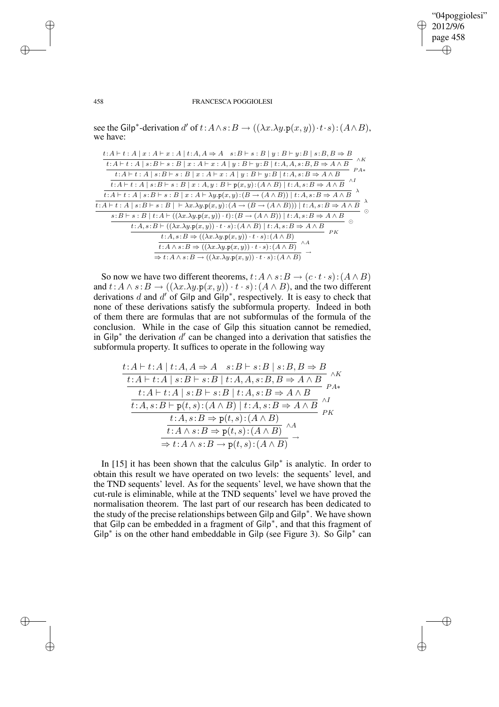✐

✐

#### 458 FRANCESCA POGGIOLESI

see the Gilp<sup>\*</sup>-derivation d' of  $t: A \wedge s: B \to ((\lambda x. \lambda y. \mathbf{p}(x, y)) \cdot t \cdot s): (A \wedge B)$ , we have:

| $t:A \vdash t:A \mid x:A \vdash x:A \mid t:A,A \Rightarrow A \quad s:B \vdash s:B \mid y:B \vdash y:B \mid s:B,B \Rightarrow B$<br>$\wedge K$                  |
|----------------------------------------------------------------------------------------------------------------------------------------------------------------|
| $t:A \vdash t:A \mid s:B \vdash s:B \mid x:A \vdash x:A \mid y:B \vdash y:B \mid t:A,A,s:B,B \Rightarrow A \wedge B$<br>$PA*$                                  |
| $t\!:\!A\vdash t:A\mid s\!:\!B\vdash s:B\mid x:A\vdash x:A\mid y:B\vdash y\!:\!B\mid\overline{t\!:\!A,s\!:\!B\Rightarrow A\wedge B}$                           |
| $\wedge I$<br>$t:A\vdash t:A\mid s:B\vdash s:B\mid x:A,y:B\vdash p(x,y):(A\wedge B)\mid t:A,s:B\Rightarrow A\wedge B$                                          |
| $t:A\vdash t:A\mid s:B\vdash s:B\mid x:A\vdash \lambda y.\mathbf{p}(x,y) : (B\rightarrow (A\wedge B))\mid t:A,s:B\Rightarrow A\wedge B$                        |
| $t:A\vdash t:A\mid s:B\vdash s:B\mid\;\vdash\lambda x.\lambda y.\mathbf{p}(x,y)\colon(A\rightarrow(B\rightarrow(A\wedge B)))\mid t:A,s:B\Rightarrow A\wedge B$ |
| $s:B\vdash s:B\mid t:A\vdash ((\lambda x.\lambda y.p(x,y))\cdot t):(B\rightarrow (A\wedge B))\mid t:A,s:B\Rightarrow A\wedge B$                                |
| $t:A,s:B\vdash ((\lambda x.\lambda y.\mathbf{p}(x,y))\cdot t\cdot s):(A\wedge B)\mid t:A,s:B\Rightarrow A\wedge B$                                             |
| РK<br>$t:A,s:B\Rightarrow ((\lambda x.\lambda y.p(x,y))\cdot t\cdot s):(A\wedge B)$                                                                            |
| $t:A \wedge s:B \Rightarrow ((\lambda x.\lambda y.p(x,y)) \cdot t \cdot s) : (A \wedge B)$                                                                     |
| $\Rightarrow$ t: A $\land$ s: B $\rightarrow$ (( $\lambda x.\lambda y.\mathbf{p}(x, y)$ ) · t · s): ( $A \land B$ )                                            |

So now we have two different theorems,  $t: A \wedge s: B \rightarrow (c \cdot t \cdot s) : (A \wedge B)$ and  $t: A \wedge s: B \rightarrow ((\lambda x. \lambda y. p(x, y)) \cdot t \cdot s): (A \wedge B)$ , and the two different derivations d and  $d'$  of Gilp and Gilp<sup>\*</sup>, respectively. It is easy to check that none of these derivations satisfy the subformula property. Indeed in both of them there are formulas that are not subformulas of the formula of the conclusion. While in the case of Gilp this situation cannot be remedied, in Gilp<sup>\*</sup> the derivation  $d'$  can be changed into a derivation that satisfies the subformula property. It suffices to operate in the following way

$$
\frac{t:A \vdash t:A \mid t:A,A \Rightarrow A \quad s:B \vdash s:B \mid s:B,B \Rightarrow B}{t:A \vdash t:A \mid s:B \vdash s:B \mid t:A,A,s:B,B \Rightarrow A \land B} \land K
$$
\n
$$
\frac{t:A \vdash t:A \mid s:B \vdash s:B \mid t:A,s:B \Rightarrow A \land B}{t:A,s:B \vdash p(t,s):(A \land B) \mid t:A,s:B \Rightarrow A \land B} \land K
$$
\n
$$
\frac{t:A,s:B \Rightarrow p(t,s):(A \land B)}{t:A \land s:B \Rightarrow p(t,s):(A \land B)} \land A
$$
\n
$$
\frac{t:A \land s:B \Rightarrow p(t,s):(A \land B)}{t:A \land s:B \Rightarrow p(t,s):(A \land B)} \rightarrow
$$

In [15] it has been shown that the calculus Gilp<sup>∗</sup> is analytic. In order to obtain this result we have operated on two levels: the sequents' level, and the TND sequents' level. As for the sequents' level, we have shown that the cut-rule is eliminable, while at the TND sequents' level we have proved the normalisation theorem. The last part of our research has been dedicated to the study of the precise relationships between Gilp and Gilp<sup>∗</sup> . We have shown that Gilp can be embedded in a fragment of Gilp<sup>∗</sup> , and that this fragment of Gilp<sup>\*</sup> is on the other hand embeddable in Gilp (see Figure 3). So  $\tilde{G}$ ilp<sup>\*</sup> can

 $\rightarrow$ 

 $\rightarrow$ 

✐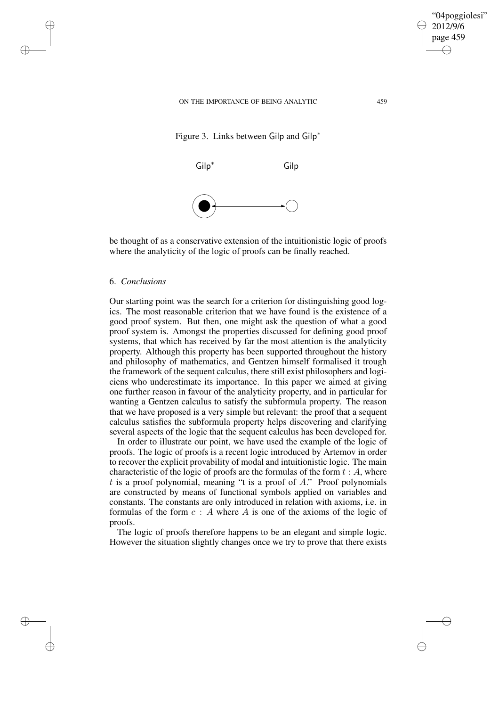

"04poggiolesi" 2012/9/6 page 459

✐

✐

✐

✐





be thought of as a conservative extension of the intuitionistic logic of proofs where the analyticity of the logic of proofs can be finally reached.

### 6. *Conclusions*

 $\rightarrow$ 

 $\rightarrow$ 

✐

✐

Our starting point was the search for a criterion for distinguishing good logics. The most reasonable criterion that we have found is the existence of a good proof system. But then, one might ask the question of what a good proof system is. Amongst the properties discussed for defining good proof systems, that which has received by far the most attention is the analyticity property. Although this property has been supported throughout the history and philosophy of mathematics, and Gentzen himself formalised it trough the framework of the sequent calculus, there still exist philosophers and logiciens who underestimate its importance. In this paper we aimed at giving one further reason in favour of the analyticity property, and in particular for wanting a Gentzen calculus to satisfy the subformula property. The reason that we have proposed is a very simple but relevant: the proof that a sequent calculus satisfies the subformula property helps discovering and clarifying several aspects of the logic that the sequent calculus has been developed for.

In order to illustrate our point, we have used the example of the logic of proofs. The logic of proofs is a recent logic introduced by Artemov in order to recover the explicit provability of modal and intuitionistic logic. The main characteristic of the logic of proofs are the formulas of the form  $t : A$ , where  $t$  is a proof polynomial, meaning "t is a proof of  $A$ ." Proof polynomials are constructed by means of functional symbols applied on variables and constants. The constants are only introduced in relation with axioms, i.e. in formulas of the form  $c : A$  where A is one of the axioms of the logic of proofs.

The logic of proofs therefore happens to be an elegant and simple logic. However the situation slightly changes once we try to prove that there exists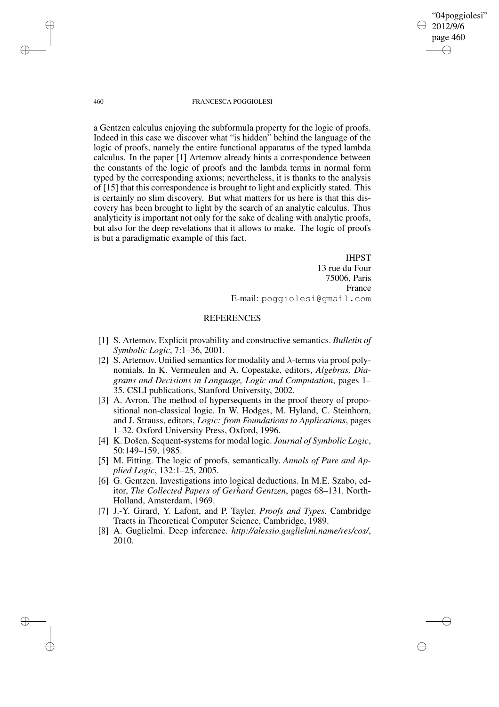"04poggiolesi" 2012/9/6 page 460 ✐ ✐

✐

✐

#### 460 FRANCESCA POGGIOLESI

a Gentzen calculus enjoying the subformula property for the logic of proofs. Indeed in this case we discover what "is hidden" behind the language of the logic of proofs, namely the entire functional apparatus of the typed lambda calculus. In the paper [1] Artemov already hints a correspondence between the constants of the logic of proofs and the lambda terms in normal form typed by the corresponding axioms; nevertheless, it is thanks to the analysis of [15] that this correspondence is brought to light and explicitly stated. This is certainly no slim discovery. But what matters for us here is that this discovery has been brought to light by the search of an analytic calculus. Thus analyticity is important not only for the sake of dealing with analytic proofs, but also for the deep revelations that it allows to make. The logic of proofs is but a paradigmatic example of this fact.

> IHPST 13 rue du Four 75006, Paris France E-mail: poggiolesi@gmail.com

### **REFERENCES**

- [1] S. Artemov. Explicit provability and constructive semantics. *Bulletin of Symbolic Logic*, 7:1–36, 2001.
- [2] S. Artemov. Unified semantics for modality and  $\lambda$ -terms via proof polynomials. In K. Vermeulen and A. Copestake, editors, *Algebras, Diagrams and Decisions in Language, Logic and Computation*, pages 1– 35. CSLI publications, Stanford University, 2002.
- [3] A. Avron. The method of hypersequents in the proof theory of propositional non-classical logic. In W. Hodges, M. Hyland, C. Steinhorn, and J. Strauss, editors, *Logic: from Foundations to Applications*, pages 1–32. Oxford University Press, Oxford, 1996.
- [4] K. Došen. Sequent-systemsfor modal logic. *Journal of Symbolic Logic*, 50:149–159, 1985.
- [5] M. Fitting. The logic of proofs, semantically. *Annals of Pure and Applied Logic*, 132:1–25, 2005.
- [6] G. Gentzen. Investigations into logical deductions. In M.E. Szabo, editor, *The Collected Papers of Gerhard Gentzen*, pages 68–131. North-Holland, Amsterdam, 1969.
- [7] J.-Y. Girard, Y. Lafont, and P. Tayler. *Proofs and Types*. Cambridge Tracts in Theoretical Computer Science, Cambridge, 1989.
- [8] A. Guglielmi. Deep inference. *http://alessio.guglielmi.name/res/cos/*, 2010.

 $\rightarrow$ 

 $\rightarrow$ 

✐